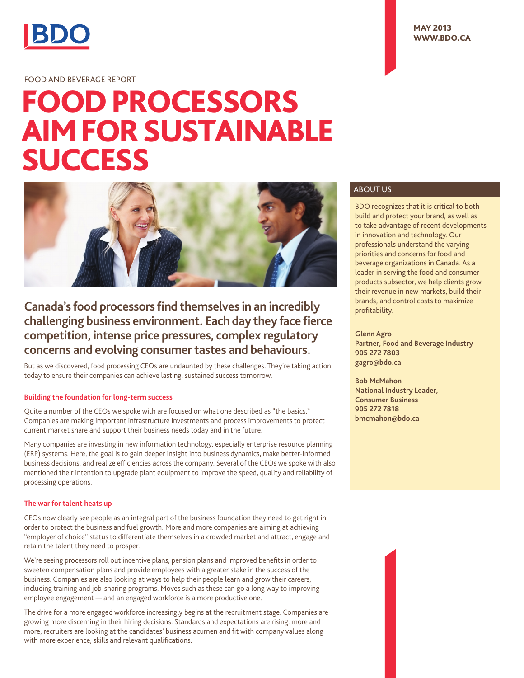

## FOOD AND BEVERAGE REPORT

# FOOD PROCESSORS AIM FOR SUSTAINABLE **SUCCESS**



# **Canada's food processors find themselves in an incredibly challenging business environment. Each day they face fierce competition, intense price pressures, complex regulatory concerns and evolving consumer tastes and behaviours.**

But as we discovered, food processing CEOs are undaunted by these challenges. They're taking action today to ensure their companies can achieve lasting, sustained success tomorrow.

#### **Building the foundation for long-term success**

Quite a number of the CEOs we spoke with are focused on what one described as "the basics." Companies are making important infrastructure investments and process improvements to protect current market share and support their business needs today and in the future.

Many companies are investing in new information technology, especially enterprise resource planning (ERP) systems. Here, the goal is to gain deeper insight into business dynamics, make better-informed business decisions, and realize efficiencies across the company. Several of the CEOs we spoke with also mentioned their intention to upgrade plant equipment to improve the speed, quality and reliability of processing operations.

#### **The war for talent heats up**

CEOs now clearly see people as an integral part of the business foundation they need to get right in order to protect the business and fuel growth. More and more companies are aiming at achieving "employer of choice" status to differentiate themselves in a crowded market and attract, engage and retain the talent they need to prosper.

We're seeing processors roll out incentive plans, pension plans and improved benefits in order to sweeten compensation plans and provide employees with a greater stake in the success of the business. Companies are also looking at ways to help their people learn and grow their careers, including training and job-sharing programs. Moves such as these can go a long way to improving employee engagement — and an engaged workforce is a more productive one.

The drive for a more engaged workforce increasingly begins at the recruitment stage. Companies are growing more discerning in their hiring decisions. Standards and expectations are rising: more and more, recruiters are looking at the candidates' business acumen and fit with company values along with more experience, skills and relevant qualifications.

### ABOUT US

BDO recognizes that it is critical to both build and protect your brand, as well as to take advantage of recent developments in innovation and technology. Our professionals understand the varying priorities and concerns for food and beverage organizations in Canada. As a leader in serving the food and consumer products subsector, we help clients grow their revenue in new markets, build their brands, and control costs to maximize profitability.

**Glenn Agro Partner, Food and Beverage Industry 905 272 7803 gagro@bdo.ca**

**Bob McMahon National Industry Leader, Consumer Business 905 272 7818 bmcmahon@bdo.ca**